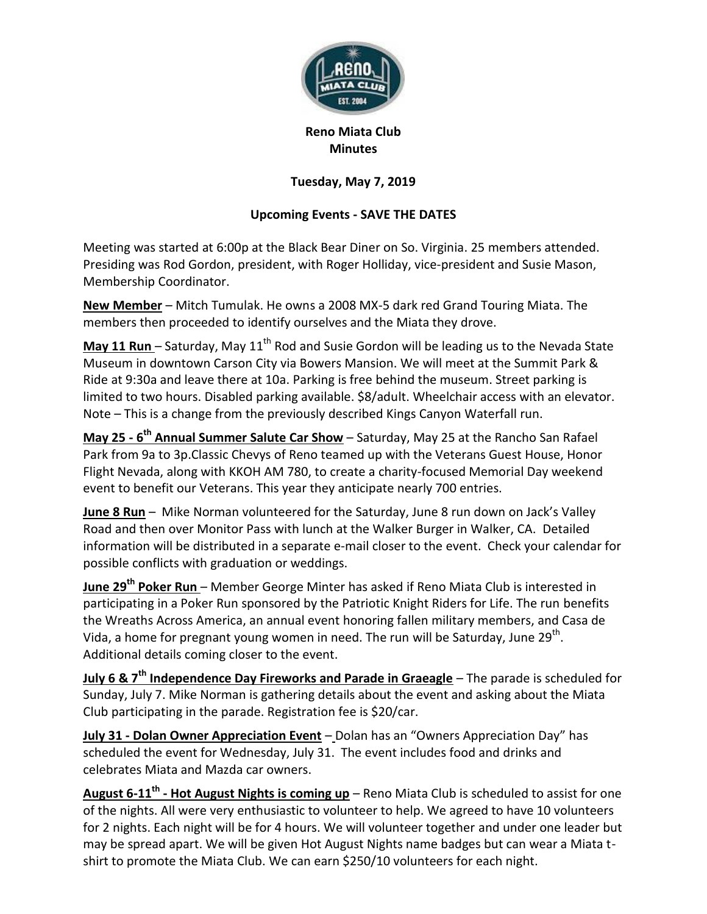

## **Reno Miata Club Minutes**

## **Tuesday, May 7, 2019**

## **Upcoming Events - SAVE THE DATES**

Meeting was started at 6:00p at the Black Bear Diner on So. Virginia. 25 members attended. Presiding was Rod Gordon, president, with Roger Holliday, vice-president and Susie Mason, Membership Coordinator.

**New Member** – Mitch Tumulak. He owns a 2008 MX-5 dark red Grand Touring Miata. The members then proceeded to identify ourselves and the Miata they drove.

**May 11 Run** – Saturday, May 11<sup>th</sup> Rod and Susie Gordon will be leading us to the Nevada State Museum in downtown Carson City via Bowers Mansion. We will meet at the Summit Park & Ride at 9:30a and leave there at 10a. Parking is free behind the museum. Street parking is limited to two hours. Disabled parking available. \$8/adult. Wheelchair access with an elevator. Note – This is a change from the previously described Kings Canyon Waterfall run.

**May 25 - 6 th Annual Summer Salute Car Show** – Saturday, May 25 at the Rancho San Rafael Park from 9a to 3p.Classic Chevys of Reno teamed up with the Veterans Guest House, Honor Flight Nevada, along with KKOH AM 780, to create a charity-focused Memorial Day weekend event to benefit our Veterans. This year they anticipate nearly 700 entries.

**June 8 Run** – Mike Norman volunteered for the Saturday, June 8 run down on Jack's Valley Road and then over Monitor Pass with lunch at the Walker Burger in Walker, CA. Detailed information will be distributed in a separate e-mail closer to the event. Check your calendar for possible conflicts with graduation or weddings.

**June 29<sup>th</sup> Poker Run** – Member George Minter has asked if Reno Miata Club is interested in participating in a Poker Run sponsored by the Patriotic Knight Riders for Life. The run benefits the Wreaths Across America, an annual event honoring fallen military members, and Casa de Vida, a home for pregnant young women in need. The run will be Saturday, June 29<sup>th</sup>. Additional details coming closer to the event.

**July 6 & 7th Independence Day Fireworks and Parade in Graeagle** – The parade is scheduled for Sunday, July 7. Mike Norman is gathering details about the event and asking about the Miata Club participating in the parade. Registration fee is \$20/car.

**July 31 - Dolan Owner Appreciation Event** – Dolan has an "Owners Appreciation Day" has scheduled the event for Wednesday, July 31. The event includes food and drinks and celebrates Miata and Mazda car owners.

**August 6-11th - Hot August Nights is coming up** – Reno Miata Club is scheduled to assist for one of the nights. All were very enthusiastic to volunteer to help. We agreed to have 10 volunteers for 2 nights. Each night will be for 4 hours. We will volunteer together and under one leader but may be spread apart. We will be given Hot August Nights name badges but can wear a Miata tshirt to promote the Miata Club. We can earn \$250/10 volunteers for each night.